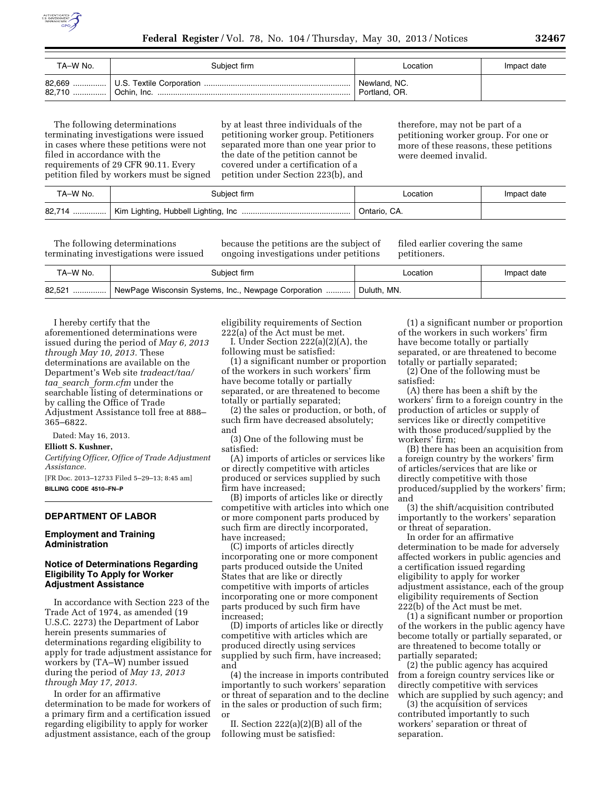

| TA–W No. | Subiect firm | Location                      | Impact date |
|----------|--------------|-------------------------------|-------------|
|          |              | Newland, NC.<br>Portland, OR. |             |

The following determinations terminating investigations were issued in cases where these petitions were not filed in accordance with the requirements of 29 CFR 90.11. Every petition filed by workers must be signed by at least three individuals of the petitioning worker group. Petitioners separated more than one year prior to the date of the petition cannot be covered under a certification of a petition under Section 223(b), and

therefore, may not be part of a petitioning worker group. For one or more of these reasons, these petitions were deemed invalid.

| TA–W No. | Subject firm | ∟ocation                  | Impact date |
|----------|--------------|---------------------------|-------------|
|          |              | <sup>1</sup> Ontario, CA. |             |

The following determinations terminating investigations were issued because the petitions are the subject of ongoing investigations under petitions

filed earlier covering the same petitioners.

| TA-W No. | Subiect firm                                                   | ∟ocation                 | Impact date |
|----------|----------------------------------------------------------------|--------------------------|-------------|
|          | 82,521    NewPage Wisconsin Systems, Inc., Newpage Corporation | <sup>1</sup> Duluth, MN. |             |

I hereby certify that the aforementioned determinations were issued during the period of *May 6, 2013 through May 10, 2013.* These determinations are available on the Department's Web site *tradeact/taa/ taa*\_*search*\_*form.cfm* under the searchable listing of determinations or by calling the Office of Trade Adjustment Assistance toll free at 888– 365–6822.

Dated: May 16, 2013.

#### **Elliott S. Kushner,**

*Certifying Officer, Office of Trade Adjustment Assistance.* 

[FR Doc. 2013–12733 Filed 5–29–13; 8:45 am] **BILLING CODE 4510–FN–P** 

# **DEPARTMENT OF LABOR**

### **Employment and Training Administration**

### **Notice of Determinations Regarding Eligibility To Apply for Worker Adjustment Assistance**

In accordance with Section 223 of the Trade Act of 1974, as amended (19 U.S.C. 2273) the Department of Labor herein presents summaries of determinations regarding eligibility to apply for trade adjustment assistance for workers by (TA–W) number issued during the period of *May 13, 2013 through May 17, 2013.* 

In order for an affirmative determination to be made for workers of a primary firm and a certification issued regarding eligibility to apply for worker adjustment assistance, each of the group eligibility requirements of Section 222(a) of the Act must be met.

I. Under Section 222(a)(2)(A), the following must be satisfied:

(1) a significant number or proportion of the workers in such workers' firm have become totally or partially separated, or are threatened to become totally or partially separated;

(2) the sales or production, or both, of such firm have decreased absolutely; and

(3) One of the following must be satisfied:

(A) imports of articles or services like or directly competitive with articles produced or services supplied by such firm have increased;

(B) imports of articles like or directly competitive with articles into which one or more component parts produced by such firm are directly incorporated, have increased;

(C) imports of articles directly incorporating one or more component parts produced outside the United States that are like or directly competitive with imports of articles incorporating one or more component parts produced by such firm have increased;

(D) imports of articles like or directly competitive with articles which are produced directly using services supplied by such firm, have increased; and

(4) the increase in imports contributed importantly to such workers' separation or threat of separation and to the decline in the sales or production of such firm; or

II. Section 222(a)(2)(B) all of the following must be satisfied:

(1) a significant number or proportion of the workers in such workers' firm have become totally or partially separated, or are threatened to become totally or partially separated;

(2) One of the following must be satisfied:

(A) there has been a shift by the workers' firm to a foreign country in the production of articles or supply of services like or directly competitive with those produced/supplied by the workers' firm;

(B) there has been an acquisition from a foreign country by the workers' firm of articles/services that are like or directly competitive with those produced/supplied by the workers' firm; and

(3) the shift/acquisition contributed importantly to the workers' separation or threat of separation.

In order for an affirmative determination to be made for adversely affected workers in public agencies and a certification issued regarding eligibility to apply for worker adjustment assistance, each of the group eligibility requirements of Section 222(b) of the Act must be met.

(1) a significant number or proportion of the workers in the public agency have become totally or partially separated, or are threatened to become totally or partially separated;

(2) the public agency has acquired from a foreign country services like or directly competitive with services which are supplied by such agency; and

(3) the acquisition of services contributed importantly to such workers' separation or threat of separation.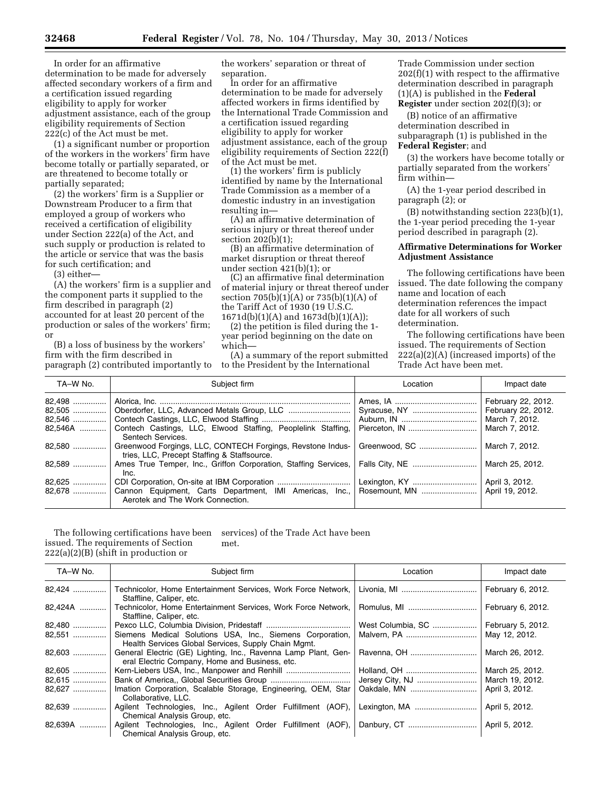In order for an affirmative determination to be made for adversely affected secondary workers of a firm and a certification issued regarding eligibility to apply for worker adjustment assistance, each of the group eligibility requirements of Section 222(c) of the Act must be met.

(1) a significant number or proportion of the workers in the workers' firm have become totally or partially separated, or are threatened to become totally or partially separated;

(2) the workers' firm is a Supplier or Downstream Producer to a firm that employed a group of workers who received a certification of eligibility under Section 222(a) of the Act, and such supply or production is related to the article or service that was the basis for such certification; and

(3) either—

(A) the workers' firm is a supplier and the component parts it supplied to the firm described in paragraph (2) accounted for at least 20 percent of the production or sales of the workers' firm; or

(B) a loss of business by the workers' firm with the firm described in paragraph (2) contributed importantly to the workers' separation or threat of separation.

In order for an affirmative determination to be made for adversely affected workers in firms identified by the International Trade Commission and a certification issued regarding eligibility to apply for worker adjustment assistance, each of the group eligibility requirements of Section 222(f) of the Act must be met.

(1) the workers' firm is publicly identified by name by the International Trade Commission as a member of a domestic industry in an investigation resulting in—

(A) an affirmative determination of serious injury or threat thereof under section 202(b)(1);

(B) an affirmative determination of market disruption or threat thereof under section 421(b)(1); or

(C) an affirmative final determination of material injury or threat thereof under section 705(b)(1)(A) or 735(b)(1)(A) of the Tariff Act of 1930 (19 U.S.C. 1671d(b)(1)(A) and 1673d(b)(1)(A));

(2) the petition is filed during the 1 year period beginning on the date on which—

(A) a summary of the report submitted to the President by the International

Trade Commission under section 202(f)(1) with respect to the affirmative determination described in paragraph (1)(A) is published in the **Federal Register** under section 202(f)(3); or

(B) notice of an affirmative determination described in subparagraph (1) is published in the **Federal Register**; and

(3) the workers have become totally or partially separated from the workers' firm within—

(A) the 1-year period described in paragraph (2); or

(B) notwithstanding section 223(b)(1), the 1-year period preceding the 1-year period described in paragraph (2).

# **Affirmative Determinations for Worker Adjustment Assistance**

The following certifications have been issued. The date following the company name and location of each determination references the impact date for all workers of such determination.

The following certifications have been issued. The requirements of Section 222(a)(2)(A) (increased imports) of the Trade Act have been met.

| TA-W No. | Subject firm                                                                                              | Location | Impact date                       |
|----------|-----------------------------------------------------------------------------------------------------------|----------|-----------------------------------|
| 82,498   |                                                                                                           |          | February 22, 2012.                |
|          | 82,505    Oberdorfer, LLC, Advanced Metals Group, LLC                                                     |          | February 22, 2012.                |
|          |                                                                                                           |          | March 7, 2012.                    |
| 82.546A  | Contech Castings, LLC, Elwood Staffing, Peoplelink Staffing,<br>Sentech Services.                         |          | March 7, 2012.                    |
| 82,580   | Greenwood Forgings, LLC, CONTECH Forgings, Revstone Indus-<br>tries, LLC, Precept Staffing & Staffsource. |          | March 7, 2012.                    |
| 82,589   | Ames True Temper, Inc., Griffon Corporation, Staffing Services,<br>Inc.                                   |          | March 25, 2012.                   |
| 82,625   | Aerotek and The Work Connection.                                                                          |          | April 3, 2012.<br>April 19, 2012. |

The following certifications have been issued. The requirements of Section 222(a)(2)(B) (shift in production or services) of the Trade Act have been met.

| TA-W No. | Subject firm                                                                                                             | Location          | Impact date       |
|----------|--------------------------------------------------------------------------------------------------------------------------|-------------------|-------------------|
| 82,424   | Technicolor, Home Entertainment Services, Work Force Network,<br>Staffline, Caliper, etc.                                |                   | February 6, 2012. |
| 82,424A  | Technicolor, Home Entertainment Services, Work Force Network,<br>Staffline, Caliper, etc.                                |                   | February 6, 2012. |
| 82,480   |                                                                                                                          | West Columbia, SC | February 5, 2012. |
|          | 82,551  Siemens Medical Solutions USA, Inc., Siemens Corporation,<br>Health Services Global Services, Supply Chain Mgmt. | Malvern, PA       | May 12, 2012.     |
| 82,603   | General Electric (GE) Lighting, Inc., Ravenna Lamp Plant, Gen-<br>eral Electric Company, Home and Business, etc.         |                   | March 26, 2012.   |
| 82,605   |                                                                                                                          |                   | March 25, 2012.   |
| 82,615   |                                                                                                                          |                   | March 19, 2012.   |
| 82,627   | Imation Corporation, Scalable Storage, Engineering, OEM, Star<br>Collaborative, LLC.                                     |                   | April 3, 2012.    |
| 82,639   | Agilent Technologies, Inc., Agilent Order Fulfillment (AOF),<br>Chemical Analysis Group, etc.                            |                   | April 5, 2012.    |
| 82,639A  | Agilent Technologies, Inc., Agilent Order Fulfillment (AOF),<br>Chemical Analysis Group, etc.                            |                   | April 5, 2012.    |